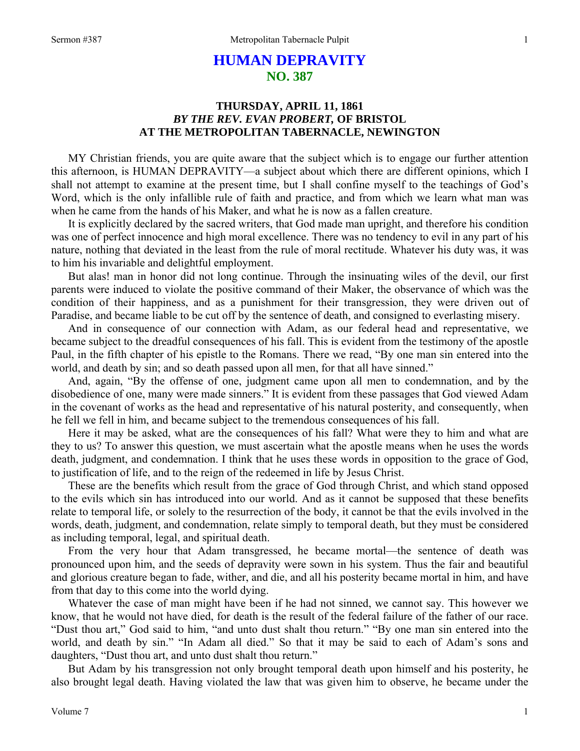## **HUMAN DEPRAVITY NO. 387**

## **THURSDAY, APRIL 11, 1861**  *BY THE REV. EVAN PROBERT,* **OF BRISTOL AT THE METROPOLITAN TABERNACLE, NEWINGTON**

MY Christian friends, you are quite aware that the subject which is to engage our further attention this afternoon, is HUMAN DEPRAVITY—a subject about which there are different opinions, which I shall not attempt to examine at the present time, but I shall confine myself to the teachings of God's Word, which is the only infallible rule of faith and practice, and from which we learn what man was when he came from the hands of his Maker, and what he is now as a fallen creature.

It is explicitly declared by the sacred writers, that God made man upright, and therefore his condition was one of perfect innocence and high moral excellence. There was no tendency to evil in any part of his nature, nothing that deviated in the least from the rule of moral rectitude. Whatever his duty was, it was to him his invariable and delightful employment.

But alas! man in honor did not long continue. Through the insinuating wiles of the devil, our first parents were induced to violate the positive command of their Maker, the observance of which was the condition of their happiness, and as a punishment for their transgression, they were driven out of Paradise, and became liable to be cut off by the sentence of death, and consigned to everlasting misery.

And in consequence of our connection with Adam, as our federal head and representative, we became subject to the dreadful consequences of his fall. This is evident from the testimony of the apostle Paul, in the fifth chapter of his epistle to the Romans. There we read, "By one man sin entered into the world, and death by sin; and so death passed upon all men, for that all have sinned."

And, again, "By the offense of one, judgment came upon all men to condemnation, and by the disobedience of one, many were made sinners." It is evident from these passages that God viewed Adam in the covenant of works as the head and representative of his natural posterity, and consequently, when he fell we fell in him, and became subject to the tremendous consequences of his fall.

Here it may be asked, what are the consequences of his fall? What were they to him and what are they to us? To answer this question, we must ascertain what the apostle means when he uses the words death, judgment, and condemnation. I think that he uses these words in opposition to the grace of God, to justification of life, and to the reign of the redeemed in life by Jesus Christ.

These are the benefits which result from the grace of God through Christ, and which stand opposed to the evils which sin has introduced into our world. And as it cannot be supposed that these benefits relate to temporal life, or solely to the resurrection of the body, it cannot be that the evils involved in the words, death, judgment*,* and condemnation, relate simply to temporal death, but they must be considered as including temporal, legal, and spiritual death.

From the very hour that Adam transgressed, he became mortal—the sentence of death was pronounced upon him, and the seeds of depravity were sown in his system. Thus the fair and beautiful and glorious creature began to fade, wither, and die, and all his posterity became mortal in him, and have from that day to this come into the world dying.

Whatever the case of man might have been if he had not sinned, we cannot say. This however we know, that he would not have died, for death is the result of the federal failure of the father of our race. "Dust thou art," God said to him, "and unto dust shalt thou return." "By one man sin entered into the world, and death by sin." "In Adam all died." So that it may be said to each of Adam's sons and daughters, "Dust thou art, and unto dust shalt thou return."

But Adam by his transgression not only brought temporal death upon himself and his posterity, he also brought legal death. Having violated the law that was given him to observe, he became under the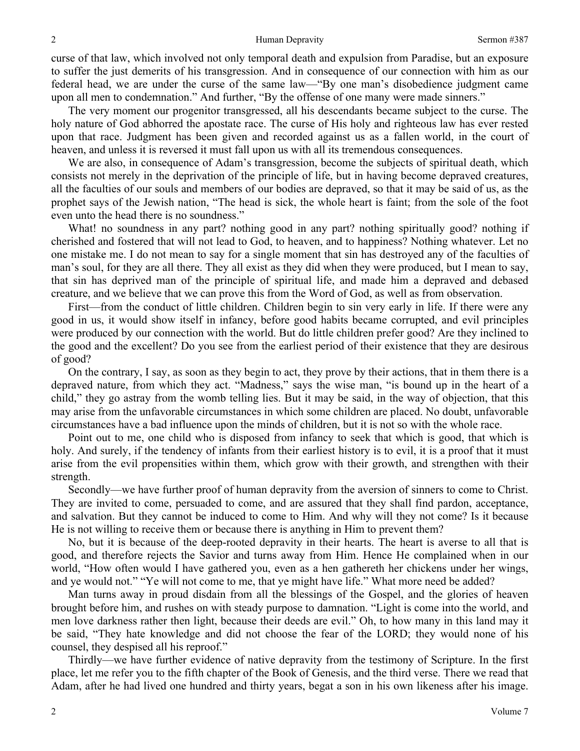curse of that law, which involved not only temporal death and expulsion from Paradise, but an exposure to suffer the just demerits of his transgression. And in consequence of our connection with him as our federal head, we are under the curse of the same law—"By one man's disobedience judgment came upon all men to condemnation." And further, "By the offense of one many were made sinners."

The very moment our progenitor transgressed, all his descendants became subject to the curse. The holy nature of God abhorred the apostate race. The curse of His holy and righteous law has ever rested upon that race. Judgment has been given and recorded against us as a fallen world, in the court of heaven, and unless it is reversed it must fall upon us with all its tremendous consequences.

We are also, in consequence of Adam's transgression, become the subjects of spiritual death, which consists not merely in the deprivation of the principle of life, but in having become depraved creatures, all the faculties of our souls and members of our bodies are depraved, so that it may be said of us, as the prophet says of the Jewish nation, "The head is sick, the whole heart is faint; from the sole of the foot even unto the head there is no soundness."

What! no soundness in any part? nothing good in any part? nothing spiritually good? nothing if cherished and fostered that will not lead to God, to heaven, and to happiness? Nothing whatever. Let no one mistake me. I do not mean to say for a single moment that sin has destroyed any of the faculties of man's soul, for they are all there. They all exist as they did when they were produced, but I mean to say, that sin has deprived man of the principle of spiritual life, and made him a depraved and debased creature, and we believe that we can prove this from the Word of God, as well as from observation.

First—from the conduct of little children. Children begin to sin very early in life. If there were any good in us, it would show itself in infancy, before good habits became corrupted, and evil principles were produced by our connection with the world. But do little children prefer good? Are they inclined to the good and the excellent? Do you see from the earliest period of their existence that they are desirous of good?

On the contrary, I say, as soon as they begin to act, they prove by their actions, that in them there is a depraved nature, from which they act. "Madness," says the wise man, "is bound up in the heart of a child," they go astray from the womb telling lies. But it may be said, in the way of objection, that this may arise from the unfavorable circumstances in which some children are placed. No doubt, unfavorable circumstances have a bad influence upon the minds of children, but it is not so with the whole race.

Point out to me, one child who is disposed from infancy to seek that which is good, that which is holy. And surely, if the tendency of infants from their earliest history is to evil, it is a proof that it must arise from the evil propensities within them, which grow with their growth, and strengthen with their strength.

Secondly—we have further proof of human depravity from the aversion of sinners to come to Christ. They are invited to come, persuaded to come, and are assured that they shall find pardon, acceptance, and salvation. But they cannot be induced to come to Him. And why will they not come? Is it because He is not willing to receive them or because there is anything in Him to prevent them?

No, but it is because of the deep-rooted depravity in their hearts. The heart is averse to all that is good, and therefore rejects the Savior and turns away from Him. Hence He complained when in our world, "How often would I have gathered you, even as a hen gathereth her chickens under her wings, and ye would not." "Ye will not come to me, that ye might have life." What more need be added?

Man turns away in proud disdain from all the blessings of the Gospel, and the glories of heaven brought before him, and rushes on with steady purpose to damnation. "Light is come into the world, and men love darkness rather then light, because their deeds are evil." Oh, to how many in this land may it be said, "They hate knowledge and did not choose the fear of the LORD; they would none of his counsel, they despised all his reproof."

Thirdly—we have further evidence of native depravity from the testimony of Scripture. In the first place, let me refer you to the fifth chapter of the Book of Genesis, and the third verse. There we read that Adam, after he had lived one hundred and thirty years, begat a son in his own likeness after his image.

2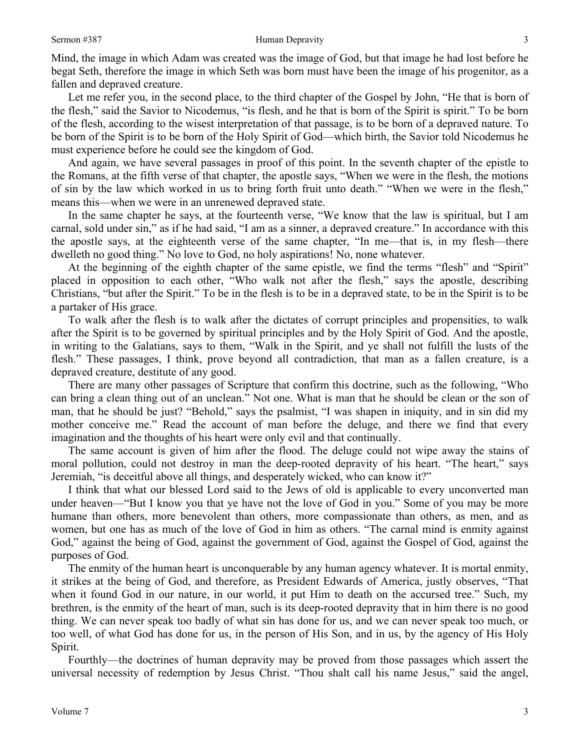Mind, the image in which Adam was created was the image of God, but that image he had lost before he begat Seth, therefore the image in which Seth was born must have been the image of his progenitor, as a fallen and depraved creature.

Let me refer you, in the second place, to the third chapter of the Gospel by John, "He that is born of the flesh," said the Savior to Nicodemus, "is flesh, and he that is born of the Spirit is spirit." To be born of the flesh, according to the wisest interpretation of that passage, is to be born of a depraved nature. To be born of the Spirit is to be born of the Holy Spirit of God—which birth, the Savior told Nicodemus he must experience before he could see the kingdom of God.

And again, we have several passages in proof of this point. In the seventh chapter of the epistle to the Romans, at the fifth verse of that chapter, the apostle says, "When we were in the flesh, the motions of sin by the law which worked in us to bring forth fruit unto death." "When we were in the flesh," means this—when we were in an unrenewed depraved state.

In the same chapter he says, at the fourteenth verse, "We know that the law is spiritual, but I am carnal, sold under sin," as if he had said, "I am as a sinner, a depraved creature." In accordance with this the apostle says, at the eighteenth verse of the same chapter, "In me—that is, in my flesh—there dwelleth no good thing." No love to God, no holy aspirations! No, none whatever.

At the beginning of the eighth chapter of the same epistle, we find the terms "flesh" and "Spirit" placed in opposition to each other, "Who walk not after the flesh," says the apostle, describing Christians, "but after the Spirit." To be in the flesh is to be in a depraved state, to be in the Spirit is to be a partaker of His grace.

To walk after the flesh is to walk after the dictates of corrupt principles and propensities, to walk after the Spirit is to be governed by spiritual principles and by the Holy Spirit of God. And the apostle, in writing to the Galatians, says to them, "Walk in the Spirit, and ye shall not fulfill the lusts of the flesh." These passages, I think, prove beyond all contradiction, that man as a fallen creature, is a depraved creature, destitute of any good.

There are many other passages of Scripture that confirm this doctrine, such as the following, "Who can bring a clean thing out of an unclean." Not one. What is man that he should be clean or the son of man, that he should be just? "Behold," says the psalmist, "I was shapen in iniquity, and in sin did my mother conceive me." Read the account of man before the deluge, and there we find that every imagination and the thoughts of his heart were only evil and that continually.

The same account is given of him after the flood. The deluge could not wipe away the stains of moral pollution, could not destroy in man the deep-rooted depravity of his heart. "The heart," says Jeremiah, "is deceitful above all things, and desperately wicked, who can know it?"

I think that what our blessed Lord said to the Jews of old is applicable to every unconverted man under heaven—"But I know you that ye have not the love of God in you." Some of you may be more humane than others, more benevolent than others, more compassionate than others, as men, and as women, but one has as much of the love of God in him as others. "The carnal mind is enmity against God," against the being of God, against the government of God, against the Gospel of God, against the purposes of God.

The enmity of the human heart is unconquerable by any human agency whatever. It is mortal enmity, it strikes at the being of God, and therefore, as President Edwards of America, justly observes, "That when it found God in our nature, in our world, it put Him to death on the accursed tree." Such, my brethren, is the enmity of the heart of man, such is its deep-rooted depravity that in him there is no good thing. We can never speak too badly of what sin has done for us, and we can never speak too much, or too well, of what God has done for us, in the person of His Son, and in us, by the agency of His Holy Spirit.

Fourthly—the doctrines of human depravity may be proved from those passages which assert the universal necessity of redemption by Jesus Christ. "Thou shalt call his name Jesus," said the angel,

3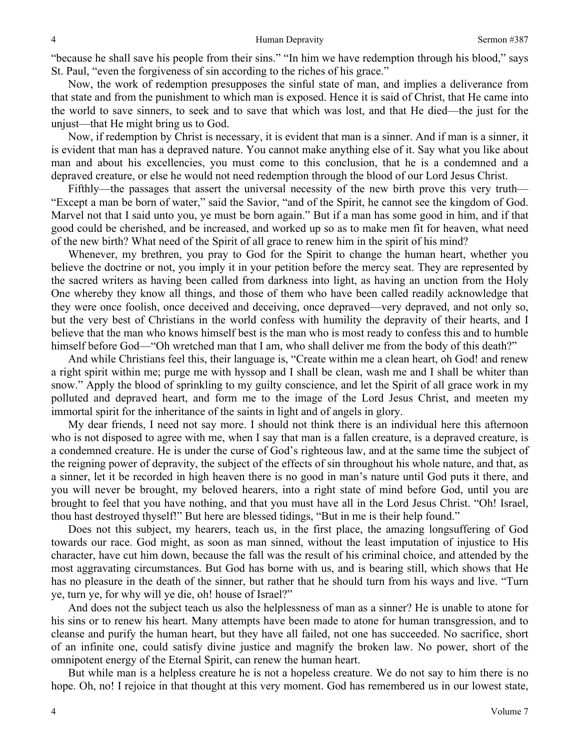"because he shall save his people from their sins." "In him we have redemption through his blood," says St. Paul, "even the forgiveness of sin according to the riches of his grace."

Now, the work of redemption presupposes the sinful state of man, and implies a deliverance from that state and from the punishment to which man is exposed. Hence it is said of Christ, that He came into the world to save sinners, to seek and to save that which was lost, and that He died—the just for the unjust—that He might bring us to God.

Now, if redemption by Christ is necessary, it is evident that man is a sinner. And if man is a sinner, it is evident that man has a depraved nature. You cannot make anything else of it. Say what you like about man and about his excellencies, you must come to this conclusion, that he is a condemned and a depraved creature, or else he would not need redemption through the blood of our Lord Jesus Christ.

Fifthly—the passages that assert the universal necessity of the new birth prove this very truth— "Except a man be born of water," said the Savior, "and of the Spirit, he cannot see the kingdom of God. Marvel not that I said unto you, ye must be born again." But if a man has some good in him, and if that good could be cherished, and be increased, and worked up so as to make men fit for heaven, what need of the new birth? What need of the Spirit of all grace to renew him in the spirit of his mind?

Whenever, my brethren, you pray to God for the Spirit to change the human heart, whether you believe the doctrine or not, you imply it in your petition before the mercy seat. They are represented by the sacred writers as having been called from darkness into light, as having an unction from the Holy One whereby they know all things, and those of them who have been called readily acknowledge that they were once foolish, once deceived and deceiving, once depraved—very depraved, and not only so, but the very best of Christians in the world confess with humility the depravity of their hearts, and I believe that the man who knows himself best is the man who is most ready to confess this and to humble himself before God—"Oh wretched man that I am, who shall deliver me from the body of this death?"

And while Christians feel this, their language is, "Create within me a clean heart, oh God! and renew a right spirit within me; purge me with hyssop and I shall be clean, wash me and I shall be whiter than snow." Apply the blood of sprinkling to my guilty conscience, and let the Spirit of all grace work in my polluted and depraved heart, and form me to the image of the Lord Jesus Christ, and meeten my immortal spirit for the inheritance of the saints in light and of angels in glory.

My dear friends, I need not say more. I should not think there is an individual here this afternoon who is not disposed to agree with me, when I say that man is a fallen creature, is a depraved creature, is a condemned creature. He is under the curse of God's righteous law, and at the same time the subject of the reigning power of depravity, the subject of the effects of sin throughout his whole nature, and that, as a sinner, let it be recorded in high heaven there is no good in man's nature until God puts it there, and you will never be brought, my beloved hearers, into a right state of mind before God, until you are brought to feel that you have nothing, and that you must have all in the Lord Jesus Christ. "Oh! Israel, thou hast destroyed thyself!" But here are blessed tidings, "But in me is their help found."

Does not this subject, my hearers, teach us, in the first place, the amazing longsuffering of God towards our race. God might, as soon as man sinned, without the least imputation of injustice to His character, have cut him down, because the fall was the result of his criminal choice, and attended by the most aggravating circumstances. But God has borne with us, and is bearing still, which shows that He has no pleasure in the death of the sinner, but rather that he should turn from his ways and live. "Turn ye, turn ye, for why will ye die, oh! house of Israel?"

And does not the subject teach us also the helplessness of man as a sinner? He is unable to atone for his sins or to renew his heart. Many attempts have been made to atone for human transgression, and to cleanse and purify the human heart, but they have all failed, not one has succeeded. No sacrifice, short of an infinite one, could satisfy divine justice and magnify the broken law. No power, short of the omnipotent energy of the Eternal Spirit, can renew the human heart.

But while man is a helpless creature he is not a hopeless creature. We do not say to him there is no hope. Oh, no! I rejoice in that thought at this very moment. God has remembered us in our lowest state,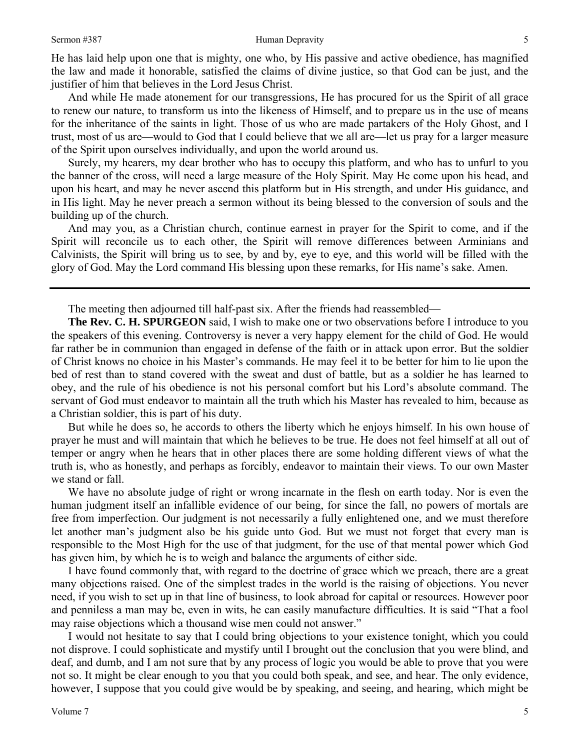He has laid help upon one that is mighty, one who, by His passive and active obedience, has magnified the law and made it honorable, satisfied the claims of divine justice, so that God can be just, and the justifier of him that believes in the Lord Jesus Christ.

And while He made atonement for our transgressions, He has procured for us the Spirit of all grace to renew our nature, to transform us into the likeness of Himself, and to prepare us in the use of means for the inheritance of the saints in light. Those of us who are made partakers of the Holy Ghost, and I trust, most of us are—would to God that I could believe that we all are—let us pray for a larger measure of the Spirit upon ourselves individually, and upon the world around us.

Surely, my hearers, my dear brother who has to occupy this platform, and who has to unfurl to you the banner of the cross, will need a large measure of the Holy Spirit. May He come upon his head, and upon his heart, and may he never ascend this platform but in His strength, and under His guidance, and in His light. May he never preach a sermon without its being blessed to the conversion of souls and the building up of the church.

And may you, as a Christian church, continue earnest in prayer for the Spirit to come, and if the Spirit will reconcile us to each other, the Spirit will remove differences between Arminians and Calvinists, the Spirit will bring us to see, by and by, eye to eye, and this world will be filled with the glory of God. May the Lord command His blessing upon these remarks, for His name's sake. Amen.

The meeting then adjourned till half-past six. After the friends had reassembled—

**The Rev. C. H. SPURGEON** said, I wish to make one or two observations before I introduce to you the speakers of this evening. Controversy is never a very happy element for the child of God. He would far rather be in communion than engaged in defense of the faith or in attack upon error. But the soldier of Christ knows no choice in his Master's commands. He may feel it to be better for him to lie upon the bed of rest than to stand covered with the sweat and dust of battle, but as a soldier he has learned to obey, and the rule of his obedience is not his personal comfort but his Lord's absolute command. The servant of God must endeavor to maintain all the truth which his Master has revealed to him, because as a Christian soldier, this is part of his duty.

But while he does so, he accords to others the liberty which he enjoys himself. In his own house of prayer he must and will maintain that which he believes to be true. He does not feel himself at all out of temper or angry when he hears that in other places there are some holding different views of what the truth is, who as honestly, and perhaps as forcibly, endeavor to maintain their views. To our own Master we stand or fall.

We have no absolute judge of right or wrong incarnate in the flesh on earth today. Nor is even the human judgment itself an infallible evidence of our being, for since the fall, no powers of mortals are free from imperfection. Our judgment is not necessarily a fully enlightened one, and we must therefore let another man's judgment also be his guide unto God. But we must not forget that every man is responsible to the Most High for the use of that judgment, for the use of that mental power which God has given him, by which he is to weigh and balance the arguments of either side.

I have found commonly that, with regard to the doctrine of grace which we preach, there are a great many objections raised. One of the simplest trades in the world is the raising of objections. You never need, if you wish to set up in that line of business, to look abroad for capital or resources. However poor and penniless a man may be, even in wits, he can easily manufacture difficulties. It is said "That a fool may raise objections which a thousand wise men could not answer."

I would not hesitate to say that I could bring objections to your existence tonight, which you could not disprove. I could sophisticate and mystify until I brought out the conclusion that you were blind, and deaf, and dumb, and I am not sure that by any process of logic you would be able to prove that you were not so. It might be clear enough to you that you could both speak, and see, and hear. The only evidence, however, I suppose that you could give would be by speaking, and seeing, and hearing, which might be

Volume 7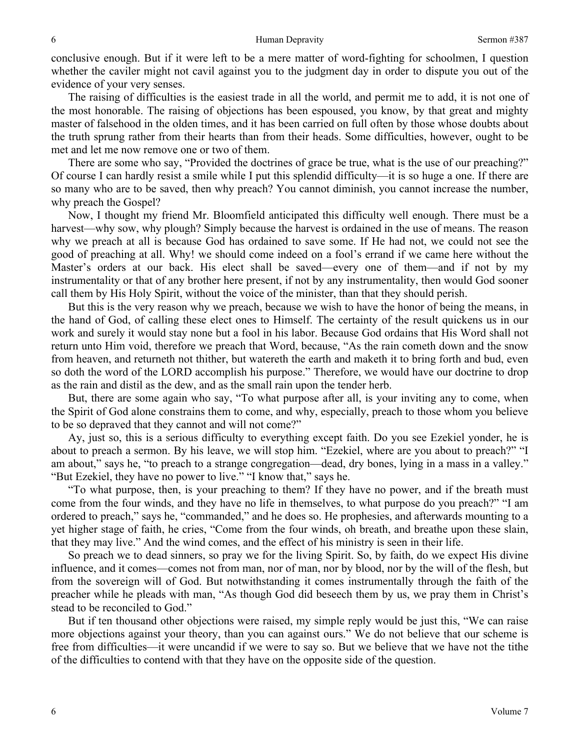conclusive enough. But if it were left to be a mere matter of word-fighting for schoolmen, I question whether the caviler might not cavil against you to the judgment day in order to dispute you out of the evidence of your very senses.

The raising of difficulties is the easiest trade in all the world, and permit me to add, it is not one of the most honorable. The raising of objections has been espoused, you know, by that great and mighty master of falsehood in the olden times, and it has been carried on full often by those whose doubts about the truth sprung rather from their hearts than from their heads. Some difficulties, however, ought to be met and let me now remove one or two of them.

There are some who say, "Provided the doctrines of grace be true, what is the use of our preaching?" Of course I can hardly resist a smile while I put this splendid difficulty—it is so huge a one. If there are so many who are to be saved, then why preach? You cannot diminish, you cannot increase the number, why preach the Gospel?

Now, I thought my friend Mr. Bloomfield anticipated this difficulty well enough. There must be a harvest—why sow, why plough? Simply because the harvest is ordained in the use of means. The reason why we preach at all is because God has ordained to save some. If He had not, we could not see the good of preaching at all. Why! we should come indeed on a fool's errand if we came here without the Master's orders at our back. His elect shall be saved—every one of them—and if not by my instrumentality or that of any brother here present, if not by any instrumentality, then would God sooner call them by His Holy Spirit, without the voice of the minister, than that they should perish.

But this is the very reason why we preach, because we wish to have the honor of being the means, in the hand of God, of calling these elect ones to Himself. The certainty of the result quickens us in our work and surely it would stay none but a fool in his labor. Because God ordains that His Word shall not return unto Him void, therefore we preach that Word, because, "As the rain cometh down and the snow from heaven, and returneth not thither, but watereth the earth and maketh it to bring forth and bud, even so doth the word of the LORD accomplish his purpose." Therefore, we would have our doctrine to drop as the rain and distil as the dew, and as the small rain upon the tender herb.

But, there are some again who say, "To what purpose after all, is your inviting any to come, when the Spirit of God alone constrains them to come, and why, especially, preach to those whom you believe to be so depraved that they cannot and will not come?"

Ay, just so, this is a serious difficulty to everything except faith. Do you see Ezekiel yonder, he is about to preach a sermon. By his leave, we will stop him. "Ezekiel, where are you about to preach?" "I am about," says he, "to preach to a strange congregation—dead, dry bones, lying in a mass in a valley." "But Ezekiel, they have no power to live." "I know that," says he.

"To what purpose, then, is your preaching to them? If they have no power, and if the breath must come from the four winds, and they have no life in themselves, to what purpose do you preach?" "I am ordered to preach," says he, "commanded," and he does so. He prophesies, and afterwards mounting to a yet higher stage of faith, he cries, "Come from the four winds, oh breath, and breathe upon these slain, that they may live." And the wind comes, and the effect of his ministry is seen in their life.

So preach we to dead sinners, so pray we for the living Spirit. So, by faith, do we expect His divine influence, and it comes—comes not from man, nor of man, nor by blood, nor by the will of the flesh, but from the sovereign will of God. But notwithstanding it comes instrumentally through the faith of the preacher while he pleads with man, "As though God did beseech them by us, we pray them in Christ's stead to be reconciled to God."

But if ten thousand other objections were raised, my simple reply would be just this, "We can raise more objections against your theory, than you can against ours." We do not believe that our scheme is free from difficulties—it were uncandid if we were to say so. But we believe that we have not the tithe of the difficulties to contend with that they have on the opposite side of the question.